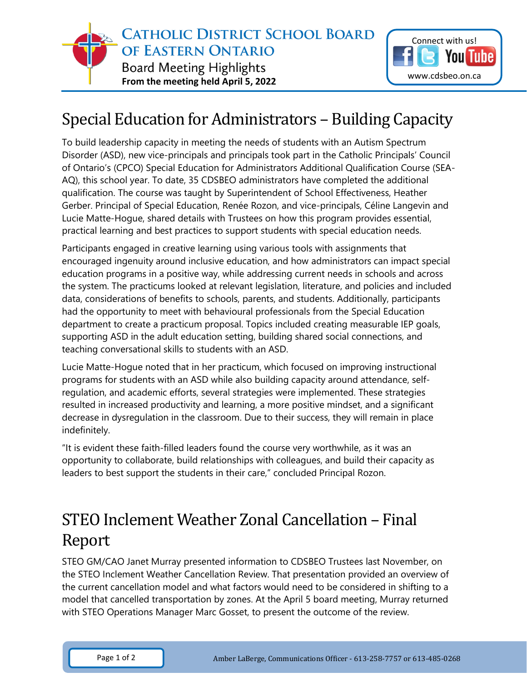

## Special Education for Administrators – Building Capacity

To build leadership capacity in meeting the needs of students with an Autism Spectrum Disorder (ASD), new vice-principals and principals took part in the Catholic Principals' Council of Ontario's (CPCO) Special Education for Administrators Additional Qualification Course (SEA-AQ), this school year. To date, 35 CDSBEO administrators have completed the additional qualification. The course was taught by Superintendent of School Effectiveness, Heather Gerber. Principal of Special Education, Renée Rozon, and vice-principals, Céline Langevin and Lucie Matte-Hogue, shared details with Trustees on how this program provides essential, practical learning and best practices to support students with special education needs.

Participants engaged in creative learning using various tools with assignments that encouraged ingenuity around inclusive education, and how administrators can impact special education programs in a positive way, while addressing current needs in schools and across the system. The practicums looked at relevant legislation, literature, and policies and included data, considerations of benefits to schools, parents, and students. Additionally, participants had the opportunity to meet with behavioural professionals from the Special Education department to create a practicum proposal. Topics included creating measurable IEP goals, supporting ASD in the adult education setting, building shared social connections, and teaching conversational skills to students with an ASD.

Lucie Matte-Hogue noted that in her practicum, which focused on improving instructional programs for students with an ASD while also building capacity around attendance, selfregulation, and academic efforts, several strategies were implemented. These strategies resulted in increased productivity and learning, a more positive mindset, and a significant decrease in dysregulation in the classroom. Due to their success, they will remain in place indefinitely.

"It is evident these faith-filled leaders found the course very worthwhile, as it was an opportunity to collaborate, build relationships with colleagues, and build their capacity as leaders to best support the students in their care," concluded Principal Rozon.

## STEO Inclement Weather Zonal Cancellation – Final Report

STEO GM/CAO Janet Murray presented information to CDSBEO Trustees last November, on the STEO Inclement Weather Cancellation Review. That presentation provided an overview of the current cancellation model and what factors would need to be considered in shifting to a model that cancelled transportation by zones. At the April 5 board meeting, Murray returned with STEO Operations Manager Marc Gosset, to present the outcome of the review.